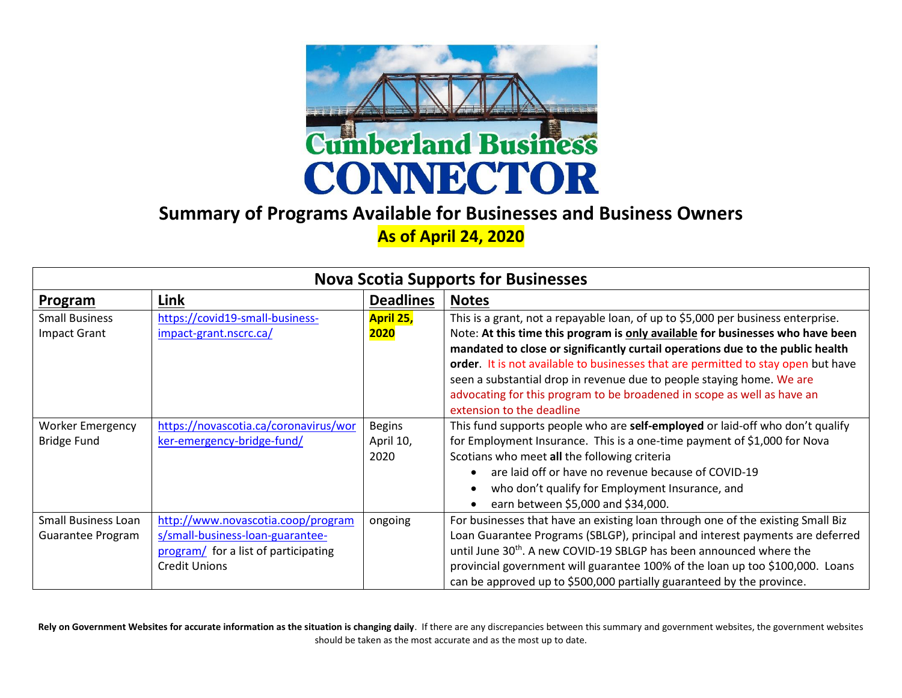

## **Summary of Programs Available for Businesses and Business Owners**

## **As of April 24, 2020**

| <b>Nova Scotia Supports for Businesses</b>      |                                                                                                                                        |                                    |                                                                                                                                                                                                                                                                                                                                                                                                                                                                                                                            |
|-------------------------------------------------|----------------------------------------------------------------------------------------------------------------------------------------|------------------------------------|----------------------------------------------------------------------------------------------------------------------------------------------------------------------------------------------------------------------------------------------------------------------------------------------------------------------------------------------------------------------------------------------------------------------------------------------------------------------------------------------------------------------------|
| Program                                         | Link                                                                                                                                   | <b>Deadlines</b>                   | <b>Notes</b>                                                                                                                                                                                                                                                                                                                                                                                                                                                                                                               |
| <b>Small Business</b><br><b>Impact Grant</b>    | https://covid19-small-business-<br>impact-grant.nscrc.ca/                                                                              | April 25,<br>2020                  | This is a grant, not a repayable loan, of up to \$5,000 per business enterprise.<br>Note: At this time this program is only available for businesses who have been<br>mandated to close or significantly curtail operations due to the public health<br>order. It is not available to businesses that are permitted to stay open but have<br>seen a substantial drop in revenue due to people staying home. We are<br>advocating for this program to be broadened in scope as well as have an<br>extension to the deadline |
| <b>Worker Emergency</b><br><b>Bridge Fund</b>   | https://novascotia.ca/coronavirus/wor<br>ker-emergency-bridge-fund/                                                                    | <b>Begins</b><br>April 10,<br>2020 | This fund supports people who are self-employed or laid-off who don't qualify<br>for Employment Insurance. This is a one-time payment of \$1,000 for Nova<br>Scotians who meet all the following criteria<br>are laid off or have no revenue because of COVID-19<br>who don't qualify for Employment Insurance, and<br>$\bullet$<br>earn between \$5,000 and \$34,000.                                                                                                                                                     |
| <b>Small Business Loan</b><br>Guarantee Program | http://www.novascotia.coop/program<br>s/small-business-loan-guarantee-<br>program/ for a list of participating<br><b>Credit Unions</b> | ongoing                            | For businesses that have an existing loan through one of the existing Small Biz<br>Loan Guarantee Programs (SBLGP), principal and interest payments are deferred<br>until June 30 <sup>th</sup> . A new COVID-19 SBLGP has been announced where the<br>provincial government will guarantee 100% of the loan up too \$100,000. Loans<br>can be approved up to \$500,000 partially guaranteed by the province.                                                                                                              |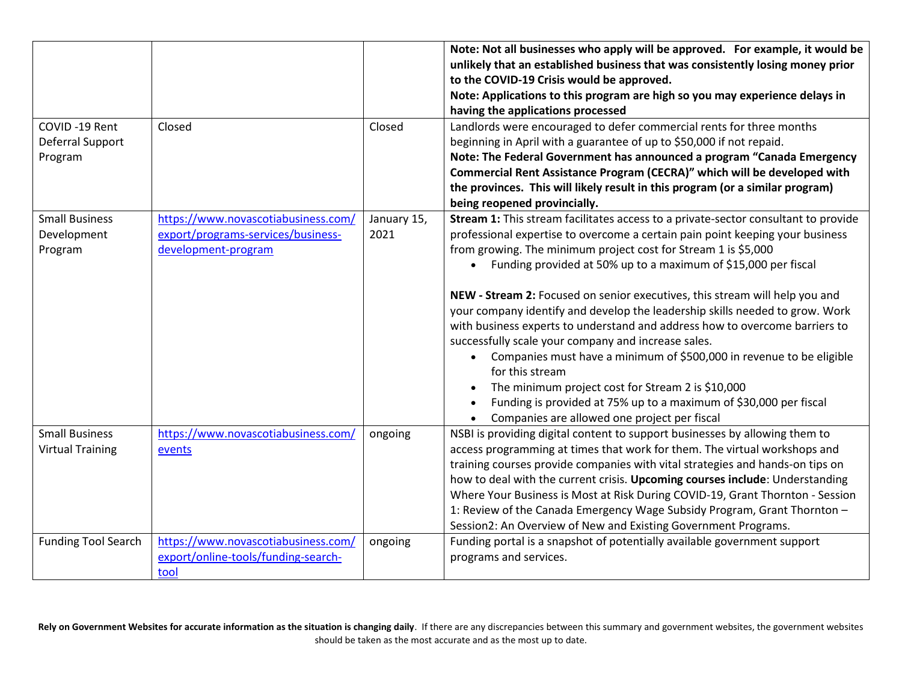|                            |                                                           |                     | Note: Not all businesses who apply will be approved. For example, it would be<br>unlikely that an established business that was consistently losing money prior |
|----------------------------|-----------------------------------------------------------|---------------------|-----------------------------------------------------------------------------------------------------------------------------------------------------------------|
|                            |                                                           |                     | to the COVID-19 Crisis would be approved.<br>Note: Applications to this program are high so you may experience delays in                                        |
|                            |                                                           |                     | having the applications processed                                                                                                                               |
| COVID-19 Rent              | Closed                                                    | Closed              | Landlords were encouraged to defer commercial rents for three months                                                                                            |
| Deferral Support           |                                                           |                     | beginning in April with a guarantee of up to \$50,000 if not repaid.                                                                                            |
| Program                    |                                                           |                     | Note: The Federal Government has announced a program "Canada Emergency                                                                                          |
|                            |                                                           |                     | Commercial Rent Assistance Program (CECRA)" which will be developed with                                                                                        |
|                            |                                                           |                     | the provinces. This will likely result in this program (or a similar program)                                                                                   |
|                            |                                                           |                     | being reopened provincially.                                                                                                                                    |
| <b>Small Business</b>      | https://www.novascotiabusiness.com/                       | January 15,<br>2021 | Stream 1: This stream facilitates access to a private-sector consultant to provide                                                                              |
| Development<br>Program     | export/programs-services/business-<br>development-program |                     | professional expertise to overcome a certain pain point keeping your business<br>from growing. The minimum project cost for Stream 1 is \$5,000                 |
|                            |                                                           |                     | • Funding provided at 50% up to a maximum of \$15,000 per fiscal                                                                                                |
|                            |                                                           |                     |                                                                                                                                                                 |
|                            |                                                           |                     | NEW - Stream 2: Focused on senior executives, this stream will help you and                                                                                     |
|                            |                                                           |                     | your company identify and develop the leadership skills needed to grow. Work                                                                                    |
|                            |                                                           |                     | with business experts to understand and address how to overcome barriers to                                                                                     |
|                            |                                                           |                     | successfully scale your company and increase sales.                                                                                                             |
|                            |                                                           |                     | Companies must have a minimum of \$500,000 in revenue to be eligible<br>for this stream                                                                         |
|                            |                                                           |                     | The minimum project cost for Stream 2 is \$10,000                                                                                                               |
|                            |                                                           |                     | Funding is provided at 75% up to a maximum of \$30,000 per fiscal                                                                                               |
|                            |                                                           |                     | Companies are allowed one project per fiscal<br>$\bullet$                                                                                                       |
| <b>Small Business</b>      | https://www.novascotiabusiness.com/                       | ongoing             | NSBI is providing digital content to support businesses by allowing them to                                                                                     |
| <b>Virtual Training</b>    | events                                                    |                     | access programming at times that work for them. The virtual workshops and                                                                                       |
|                            |                                                           |                     | training courses provide companies with vital strategies and hands-on tips on                                                                                   |
|                            |                                                           |                     | how to deal with the current crisis. Upcoming courses include: Understanding                                                                                    |
|                            |                                                           |                     | Where Your Business is Most at Risk During COVID-19, Grant Thornton - Session<br>1: Review of the Canada Emergency Wage Subsidy Program, Grant Thornton -       |
|                            |                                                           |                     | Session2: An Overview of New and Existing Government Programs.                                                                                                  |
| <b>Funding Tool Search</b> | https://www.novascotiabusiness.com/                       | ongoing             | Funding portal is a snapshot of potentially available government support                                                                                        |
|                            | export/online-tools/funding-search-                       |                     | programs and services.                                                                                                                                          |
|                            | tool                                                      |                     |                                                                                                                                                                 |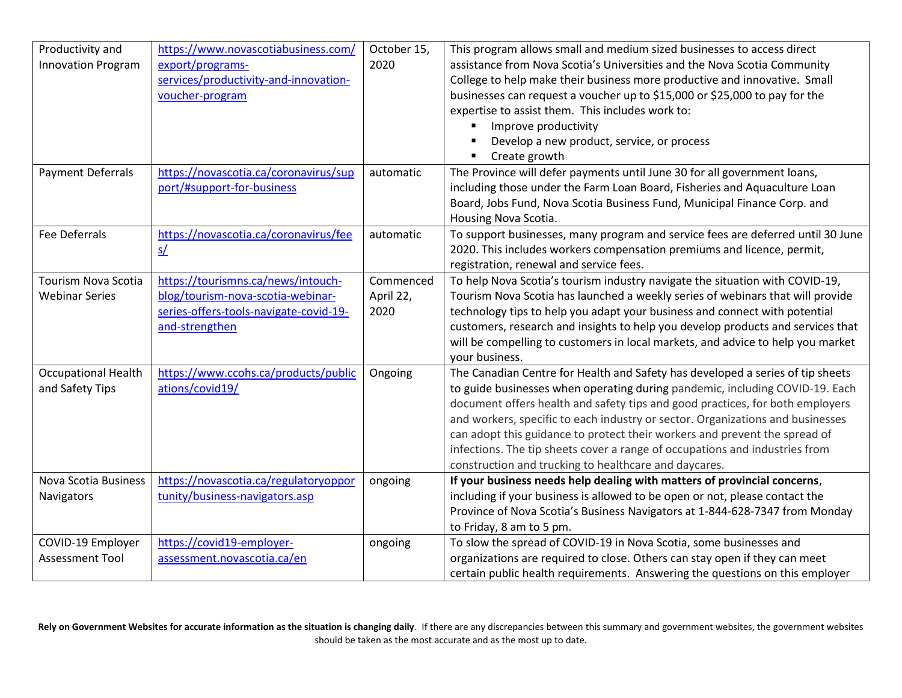| Productivity and           | https://www.novascotiabusiness.com/    | October 15, | This program allows small and medium sized businesses to access direct          |
|----------------------------|----------------------------------------|-------------|---------------------------------------------------------------------------------|
| <b>Innovation Program</b>  | export/programs-                       | 2020        | assistance from Nova Scotia's Universities and the Nova Scotia Community        |
|                            | services/productivity-and-innovation-  |             | College to help make their business more productive and innovative. Small       |
|                            | voucher-program                        |             | businesses can request a voucher up to \$15,000 or \$25,000 to pay for the      |
|                            |                                        |             | expertise to assist them. This includes work to:                                |
|                            |                                        |             | Improve productivity                                                            |
|                            |                                        |             | Develop a new product, service, or process                                      |
|                            |                                        |             | Create growth<br>٠                                                              |
| <b>Payment Deferrals</b>   | https://novascotia.ca/coronavirus/sup  | automatic   | The Province will defer payments until June 30 for all government loans,        |
|                            | port/#support-for-business             |             | including those under the Farm Loan Board, Fisheries and Aquaculture Loan       |
|                            |                                        |             | Board, Jobs Fund, Nova Scotia Business Fund, Municipal Finance Corp. and        |
|                            |                                        |             | Housing Nova Scotia.                                                            |
| <b>Fee Deferrals</b>       | https://novascotia.ca/coronavirus/fee  | automatic   | To support businesses, many program and service fees are deferred until 30 June |
|                            | S/                                     |             | 2020. This includes workers compensation premiums and licence, permit,          |
|                            |                                        |             | registration, renewal and service fees.                                         |
| <b>Tourism Nova Scotia</b> | https://tourismns.ca/news/intouch-     | Commenced   | To help Nova Scotia's tourism industry navigate the situation with COVID-19,    |
| <b>Webinar Series</b>      | blog/tourism-nova-scotia-webinar-      | April 22,   | Tourism Nova Scotia has launched a weekly series of webinars that will provide  |
|                            | series-offers-tools-navigate-covid-19- | 2020        | technology tips to help you adapt your business and connect with potential      |
|                            | and-strengthen                         |             | customers, research and insights to help you develop products and services that |
|                            |                                        |             | will be compelling to customers in local markets, and advice to help you market |
|                            |                                        |             | your business.                                                                  |
| <b>Occupational Health</b> | https://www.ccohs.ca/products/public   | Ongoing     | The Canadian Centre for Health and Safety has developed a series of tip sheets  |
| and Safety Tips            | ations/covid19/                        |             | to guide businesses when operating during pandemic, including COVID-19. Each    |
|                            |                                        |             | document offers health and safety tips and good practices, for both employers   |
|                            |                                        |             | and workers, specific to each industry or sector. Organizations and businesses  |
|                            |                                        |             | can adopt this guidance to protect their workers and prevent the spread of      |
|                            |                                        |             | infections. The tip sheets cover a range of occupations and industries from     |
|                            |                                        |             | construction and trucking to healthcare and daycares.                           |
| Nova Scotia Business       | https://novascotia.ca/regulatoryoppor  | ongoing     | If your business needs help dealing with matters of provincial concerns,        |
| Navigators                 | tunity/business-navigators.asp         |             | including if your business is allowed to be open or not, please contact the     |
|                            |                                        |             | Province of Nova Scotia's Business Navigators at 1-844-628-7347 from Monday     |
|                            |                                        |             | to Friday, 8 am to 5 pm.                                                        |
| COVID-19 Employer          | https://covid19-employer-              |             | To slow the spread of COVID-19 in Nova Scotia, some businesses and              |
|                            |                                        | ongoing     |                                                                                 |
| <b>Assessment Tool</b>     | assessment.novascotia.ca/en            |             | organizations are required to close. Others can stay open if they can meet      |
|                            |                                        |             | certain public health requirements. Answering the questions on this employer    |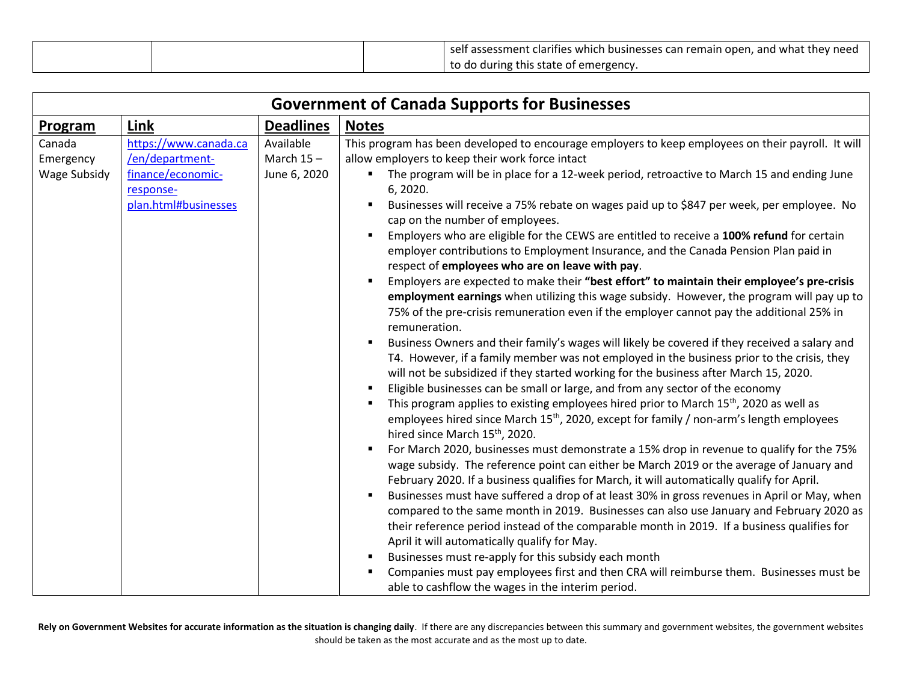|  | self assessment clarifies which businesses can remain open, and what they need |
|--|--------------------------------------------------------------------------------|
|  | to do during this state of emergency.                                          |

|                                            | <b>Government of Canada Supports for Businesses</b>                                                |                                           |                                                                                                                                                                                                                                                                                                                                                                                                                                                                                                                                                                                                                                                                                                                                                                                                                                                                                                                                                                                                                                                                                                                                                                                                                                                                                                                                                                                                                                                                                                                                                                                                                                                                                                                                                                                                                                                                                                                                                                                                                                                                                                                                                                                                                                                                                                                                                                             |  |  |
|--------------------------------------------|----------------------------------------------------------------------------------------------------|-------------------------------------------|-----------------------------------------------------------------------------------------------------------------------------------------------------------------------------------------------------------------------------------------------------------------------------------------------------------------------------------------------------------------------------------------------------------------------------------------------------------------------------------------------------------------------------------------------------------------------------------------------------------------------------------------------------------------------------------------------------------------------------------------------------------------------------------------------------------------------------------------------------------------------------------------------------------------------------------------------------------------------------------------------------------------------------------------------------------------------------------------------------------------------------------------------------------------------------------------------------------------------------------------------------------------------------------------------------------------------------------------------------------------------------------------------------------------------------------------------------------------------------------------------------------------------------------------------------------------------------------------------------------------------------------------------------------------------------------------------------------------------------------------------------------------------------------------------------------------------------------------------------------------------------------------------------------------------------------------------------------------------------------------------------------------------------------------------------------------------------------------------------------------------------------------------------------------------------------------------------------------------------------------------------------------------------------------------------------------------------------------------------------------------------|--|--|
| <b>Program</b>                             | Link                                                                                               | <b>Deadlines</b>                          | <b>Notes</b>                                                                                                                                                                                                                                                                                                                                                                                                                                                                                                                                                                                                                                                                                                                                                                                                                                                                                                                                                                                                                                                                                                                                                                                                                                                                                                                                                                                                                                                                                                                                                                                                                                                                                                                                                                                                                                                                                                                                                                                                                                                                                                                                                                                                                                                                                                                                                                |  |  |
| Canada<br>Emergency<br><b>Wage Subsidy</b> | https://www.canada.ca<br>/en/department-<br>finance/economic-<br>response-<br>plan.html#businesses | Available<br>March $15 -$<br>June 6, 2020 | This program has been developed to encourage employers to keep employees on their payroll. It will<br>allow employers to keep their work force intact<br>The program will be in place for a 12-week period, retroactive to March 15 and ending June<br>6, 2020.<br>Businesses will receive a 75% rebate on wages paid up to \$847 per week, per employee. No<br>cap on the number of employees.<br>Employers who are eligible for the CEWS are entitled to receive a 100% refund for certain<br>٠<br>employer contributions to Employment Insurance, and the Canada Pension Plan paid in<br>respect of employees who are on leave with pay.<br>Employers are expected to make their "best effort" to maintain their employee's pre-crisis<br>employment earnings when utilizing this wage subsidy. However, the program will pay up to<br>75% of the pre-crisis remuneration even if the employer cannot pay the additional 25% in<br>remuneration.<br>Business Owners and their family's wages will likely be covered if they received a salary and<br>T4. However, if a family member was not employed in the business prior to the crisis, they<br>will not be subsidized if they started working for the business after March 15, 2020.<br>Eligible businesses can be small or large, and from any sector of the economy<br>This program applies to existing employees hired prior to March 15 <sup>th</sup> , 2020 as well as<br>employees hired since March 15 <sup>th</sup> , 2020, except for family / non-arm's length employees<br>hired since March 15 <sup>th</sup> , 2020.<br>For March 2020, businesses must demonstrate a 15% drop in revenue to qualify for the 75%<br>wage subsidy. The reference point can either be March 2019 or the average of January and<br>February 2020. If a business qualifies for March, it will automatically qualify for April.<br>Businesses must have suffered a drop of at least 30% in gross revenues in April or May, when<br>compared to the same month in 2019. Businesses can also use January and February 2020 as<br>their reference period instead of the comparable month in 2019. If a business qualifies for<br>April it will automatically qualify for May.<br>Businesses must re-apply for this subsidy each month<br>Companies must pay employees first and then CRA will reimburse them. Businesses must be |  |  |
|                                            |                                                                                                    |                                           | able to cashflow the wages in the interim period.                                                                                                                                                                                                                                                                                                                                                                                                                                                                                                                                                                                                                                                                                                                                                                                                                                                                                                                                                                                                                                                                                                                                                                                                                                                                                                                                                                                                                                                                                                                                                                                                                                                                                                                                                                                                                                                                                                                                                                                                                                                                                                                                                                                                                                                                                                                           |  |  |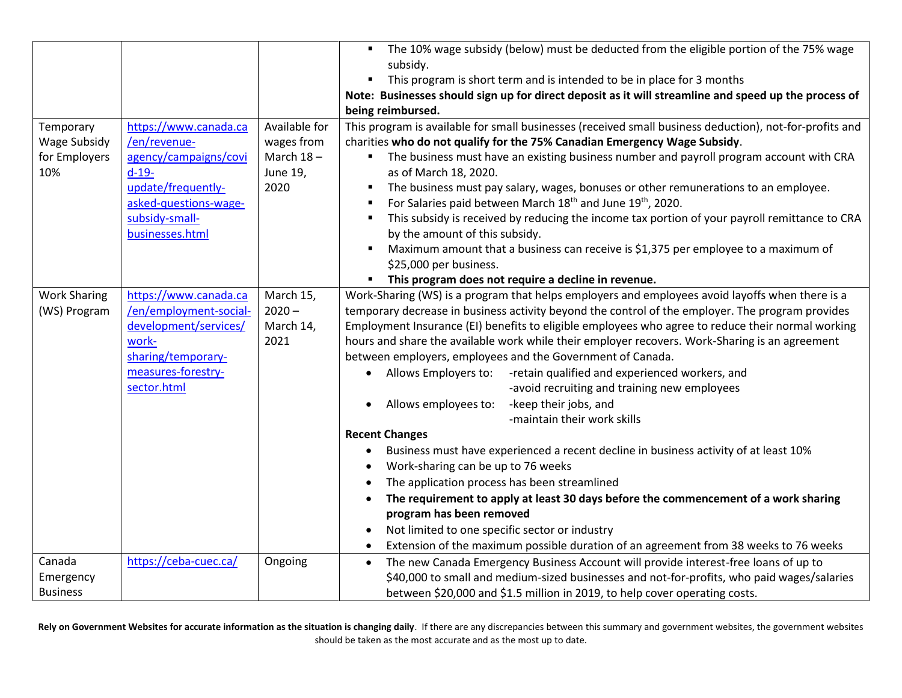|                     |                        |               | The 10% wage subsidy (below) must be deducted from the eligible portion of the 75% wage                         |
|---------------------|------------------------|---------------|-----------------------------------------------------------------------------------------------------------------|
|                     |                        |               | subsidy.                                                                                                        |
|                     |                        |               | This program is short term and is intended to be in place for 3 months<br>$\blacksquare$                        |
|                     |                        |               | Note: Businesses should sign up for direct deposit as it will streamline and speed up the process of            |
|                     |                        |               | being reimbursed.                                                                                               |
| Temporary           | https://www.canada.ca  | Available for | This program is available for small businesses (received small business deduction), not-for-profits and         |
| Wage Subsidy        | /en/revenue-           | wages from    | charities who do not qualify for the 75% Canadian Emergency Wage Subsidy.                                       |
| for Employers       | agency/campaigns/covi  | March $18-$   | • The business must have an existing business number and payroll program account with CRA                       |
| 10%                 | $d-19-$                | June 19,      | as of March 18, 2020.                                                                                           |
|                     | update/frequently-     | 2020          | The business must pay salary, wages, bonuses or other remunerations to an employee.<br>٠                        |
|                     | asked-questions-wage-  |               | For Salaries paid between March 18 <sup>th</sup> and June 19 <sup>th</sup> , 2020.<br>٠                         |
|                     | subsidy-small-         |               | This subsidy is received by reducing the income tax portion of your payroll remittance to CRA<br>$\blacksquare$ |
|                     | businesses.html        |               | by the amount of this subsidy.                                                                                  |
|                     |                        |               | Maximum amount that a business can receive is \$1,375 per employee to a maximum of<br>٠                         |
|                     |                        |               | \$25,000 per business.                                                                                          |
|                     |                        |               | This program does not require a decline in revenue.<br>٠                                                        |
| <b>Work Sharing</b> | https://www.canada.ca  | March 15,     | Work-Sharing (WS) is a program that helps employers and employees avoid layoffs when there is a                 |
| (WS) Program        | /en/employment-social- | $2020 -$      | temporary decrease in business activity beyond the control of the employer. The program provides                |
|                     | development/services/  | March 14,     | Employment Insurance (EI) benefits to eligible employees who agree to reduce their normal working               |
|                     | work-                  | 2021          | hours and share the available work while their employer recovers. Work-Sharing is an agreement                  |
|                     | sharing/temporary-     |               | between employers, employees and the Government of Canada.                                                      |
|                     | measures-forestry-     |               | Allows Employers to:<br>-retain qualified and experienced workers, and                                          |
|                     | sector.html            |               | -avoid recruiting and training new employees                                                                    |
|                     |                        |               | -keep their jobs, and<br>Allows employees to:                                                                   |
|                     |                        |               | -maintain their work skills                                                                                     |
|                     |                        |               | <b>Recent Changes</b>                                                                                           |
|                     |                        |               | Business must have experienced a recent decline in business activity of at least 10%                            |
|                     |                        |               | Work-sharing can be up to 76 weeks                                                                              |
|                     |                        |               | The application process has been streamlined                                                                    |
|                     |                        |               | The requirement to apply at least 30 days before the commencement of a work sharing                             |
|                     |                        |               | program has been removed                                                                                        |
|                     |                        |               | Not limited to one specific sector or industry                                                                  |
|                     |                        |               | Extension of the maximum possible duration of an agreement from 38 weeks to 76 weeks                            |
| Canada              | https://ceba-cuec.ca/  | Ongoing       | The new Canada Emergency Business Account will provide interest-free loans of up to                             |
| Emergency           |                        |               | \$40,000 to small and medium-sized businesses and not-for-profits, who paid wages/salaries                      |
| <b>Business</b>     |                        |               | between \$20,000 and \$1.5 million in 2019, to help cover operating costs.                                      |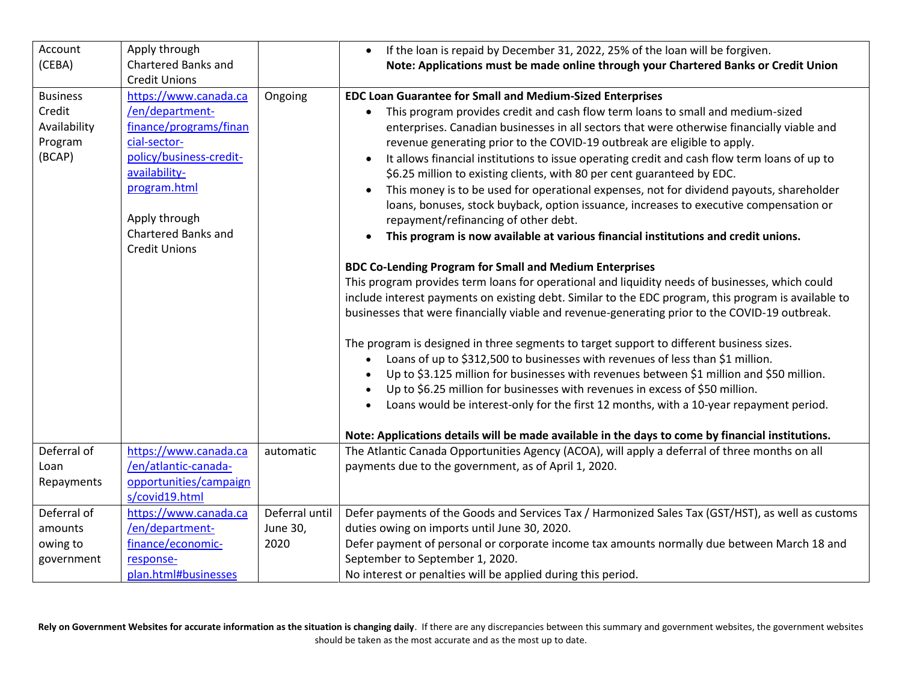| Account         | Apply through              |                | If the loan is repaid by December 31, 2022, 25% of the loan will be forgiven.                             |
|-----------------|----------------------------|----------------|-----------------------------------------------------------------------------------------------------------|
| (CEBA)          | <b>Chartered Banks and</b> |                | Note: Applications must be made online through your Chartered Banks or Credit Union                       |
|                 | <b>Credit Unions</b>       |                |                                                                                                           |
| <b>Business</b> | https://www.canada.ca      | Ongoing        | <b>EDC Loan Guarantee for Small and Medium-Sized Enterprises</b>                                          |
| Credit          | /en/department-            |                | This program provides credit and cash flow term loans to small and medium-sized<br>$\bullet$              |
| Availability    | finance/programs/finan     |                | enterprises. Canadian businesses in all sectors that were otherwise financially viable and                |
| Program         | cial-sector-               |                | revenue generating prior to the COVID-19 outbreak are eligible to apply.                                  |
| (BCAP)          | policy/business-credit-    |                | It allows financial institutions to issue operating credit and cash flow term loans of up to<br>$\bullet$ |
|                 | availability-              |                | \$6.25 million to existing clients, with 80 per cent guaranteed by EDC.                                   |
|                 | program.html               |                | This money is to be used for operational expenses, not for dividend payouts, shareholder<br>$\bullet$     |
|                 |                            |                | loans, bonuses, stock buyback, option issuance, increases to executive compensation or                    |
|                 | Apply through              |                | repayment/refinancing of other debt.                                                                      |
|                 | <b>Chartered Banks and</b> |                | This program is now available at various financial institutions and credit unions.                        |
|                 | <b>Credit Unions</b>       |                |                                                                                                           |
|                 |                            |                | <b>BDC Co-Lending Program for Small and Medium Enterprises</b>                                            |
|                 |                            |                | This program provides term loans for operational and liquidity needs of businesses, which could           |
|                 |                            |                | include interest payments on existing debt. Similar to the EDC program, this program is available to      |
|                 |                            |                | businesses that were financially viable and revenue-generating prior to the COVID-19 outbreak.            |
|                 |                            |                |                                                                                                           |
|                 |                            |                | The program is designed in three segments to target support to different business sizes.                  |
|                 |                            |                | Loans of up to \$312,500 to businesses with revenues of less than \$1 million.                            |
|                 |                            |                | Up to \$3.125 million for businesses with revenues between \$1 million and \$50 million.                  |
|                 |                            |                | Up to \$6.25 million for businesses with revenues in excess of \$50 million.                              |
|                 |                            |                | Loans would be interest-only for the first 12 months, with a 10-year repayment period.                    |
|                 |                            |                |                                                                                                           |
|                 |                            |                | Note: Applications details will be made available in the days to come by financial institutions.          |
| Deferral of     | https://www.canada.ca      | automatic      | The Atlantic Canada Opportunities Agency (ACOA), will apply a deferral of three months on all             |
| Loan            | /en/atlantic-canada-       |                | payments due to the government, as of April 1, 2020.                                                      |
| Repayments      | opportunities/campaign     |                |                                                                                                           |
|                 | s/covid19.html             |                |                                                                                                           |
| Deferral of     | https://www.canada.ca      | Deferral until | Defer payments of the Goods and Services Tax / Harmonized Sales Tax (GST/HST), as well as customs         |
| amounts         | /en/department-            | June 30,       | duties owing on imports until June 30, 2020.                                                              |
| owing to        | finance/economic-          | 2020           | Defer payment of personal or corporate income tax amounts normally due between March 18 and               |
| government      | response-                  |                | September to September 1, 2020.                                                                           |
|                 | plan.html#businesses       |                | No interest or penalties will be applied during this period.                                              |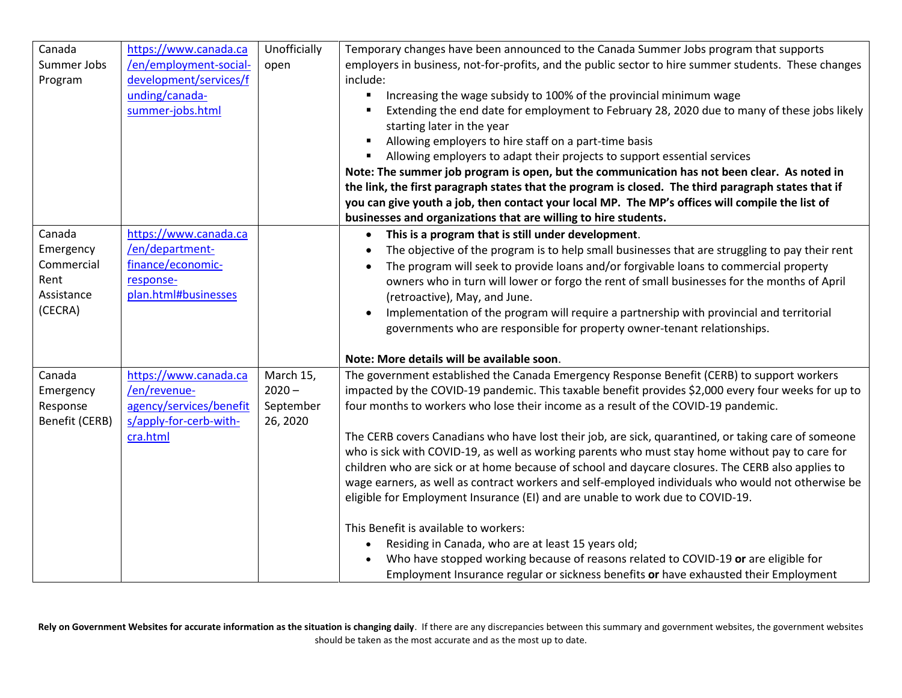| Canada         | https://www.canada.ca   | Unofficially | Temporary changes have been announced to the Canada Summer Jobs program that supports                                     |
|----------------|-------------------------|--------------|---------------------------------------------------------------------------------------------------------------------------|
| Summer Jobs    | /en/employment-social-  | open         | employers in business, not-for-profits, and the public sector to hire summer students. These changes                      |
| Program        | development/services/f  |              | include:                                                                                                                  |
|                | unding/canada-          |              | Increasing the wage subsidy to 100% of the provincial minimum wage                                                        |
|                | summer-jobs.html        |              | Extending the end date for employment to February 28, 2020 due to many of these jobs likely<br>starting later in the year |
|                |                         |              | Allowing employers to hire staff on a part-time basis<br>$\blacksquare$                                                   |
|                |                         |              | Allowing employers to adapt their projects to support essential services<br>٠                                             |
|                |                         |              | Note: The summer job program is open, but the communication has not been clear. As noted in                               |
|                |                         |              | the link, the first paragraph states that the program is closed. The third paragraph states that if                       |
|                |                         |              | you can give youth a job, then contact your local MP. The MP's offices will compile the list of                           |
|                |                         |              | businesses and organizations that are willing to hire students.                                                           |
| Canada         | https://www.canada.ca   |              | This is a program that is still under development.<br>$\bullet$                                                           |
| Emergency      | /en/department-         |              | The objective of the program is to help small businesses that are struggling to pay their rent                            |
| Commercial     | finance/economic-       |              | The program will seek to provide loans and/or forgivable loans to commercial property                                     |
| Rent           | response-               |              | owners who in turn will lower or forgo the rent of small businesses for the months of April                               |
| Assistance     | plan.html#businesses    |              | (retroactive), May, and June.                                                                                             |
| (CECRA)        |                         |              | Implementation of the program will require a partnership with provincial and territorial                                  |
|                |                         |              | governments who are responsible for property owner-tenant relationships.                                                  |
|                |                         |              |                                                                                                                           |
|                |                         |              | Note: More details will be available soon.                                                                                |
| Canada         | https://www.canada.ca   | March 15,    | The government established the Canada Emergency Response Benefit (CERB) to support workers                                |
| Emergency      | /en/revenue-            | $2020 -$     | impacted by the COVID-19 pandemic. This taxable benefit provides \$2,000 every four weeks for up to                       |
| Response       | agency/services/benefit | September    | four months to workers who lose their income as a result of the COVID-19 pandemic.                                        |
| Benefit (CERB) | s/apply-for-cerb-with-  | 26, 2020     |                                                                                                                           |
|                | cra.html                |              | The CERB covers Canadians who have lost their job, are sick, quarantined, or taking care of someone                       |
|                |                         |              | who is sick with COVID-19, as well as working parents who must stay home without pay to care for                          |
|                |                         |              | children who are sick or at home because of school and daycare closures. The CERB also applies to                         |
|                |                         |              | wage earners, as well as contract workers and self-employed individuals who would not otherwise be                        |
|                |                         |              | eligible for Employment Insurance (EI) and are unable to work due to COVID-19.                                            |
|                |                         |              | This Benefit is available to workers:                                                                                     |
|                |                         |              | Residing in Canada, who are at least 15 years old;<br>$\bullet$                                                           |
|                |                         |              | Who have stopped working because of reasons related to COVID-19 or are eligible for                                       |
|                |                         |              | Employment Insurance regular or sickness benefits or have exhausted their Employment                                      |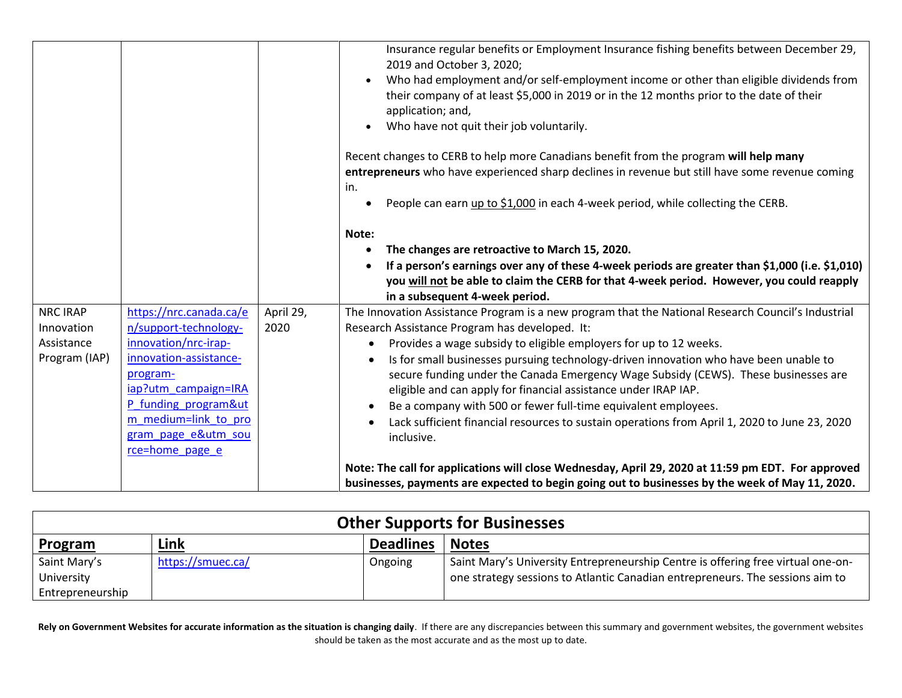|                 |                         |           | Insurance regular benefits or Employment Insurance fishing benefits between December 29,<br>2019 and October 3, 2020;<br>Who had employment and/or self-employment income or other than eligible dividends from<br>their company of at least \$5,000 in 2019 or in the 12 months prior to the date of their<br>application; and,<br>Who have not quit their job voluntarily. |
|-----------------|-------------------------|-----------|------------------------------------------------------------------------------------------------------------------------------------------------------------------------------------------------------------------------------------------------------------------------------------------------------------------------------------------------------------------------------|
|                 |                         |           | Recent changes to CERB to help more Canadians benefit from the program will help many<br>entrepreneurs who have experienced sharp declines in revenue but still have some revenue coming<br>in.                                                                                                                                                                              |
|                 |                         |           | People can earn up to \$1,000 in each 4-week period, while collecting the CERB.                                                                                                                                                                                                                                                                                              |
|                 |                         |           | Note:                                                                                                                                                                                                                                                                                                                                                                        |
|                 |                         |           | The changes are retroactive to March 15, 2020.                                                                                                                                                                                                                                                                                                                               |
|                 |                         |           | If a person's earnings over any of these 4-week periods are greater than \$1,000 (i.e. \$1,010)                                                                                                                                                                                                                                                                              |
|                 |                         |           | you will not be able to claim the CERB for that 4-week period. However, you could reapply<br>in a subsequent 4-week period.                                                                                                                                                                                                                                                  |
| <b>NRC IRAP</b> | https://nrc.canada.ca/e | April 29, | The Innovation Assistance Program is a new program that the National Research Council's Industrial                                                                                                                                                                                                                                                                           |
| Innovation      | n/support-technology-   | 2020      | Research Assistance Program has developed. It:                                                                                                                                                                                                                                                                                                                               |
| Assistance      | innovation/nrc-irap-    |           | Provides a wage subsidy to eligible employers for up to 12 weeks.<br>$\bullet$                                                                                                                                                                                                                                                                                               |
| Program (IAP)   | innovation-assistance-  |           | Is for small businesses pursuing technology-driven innovation who have been unable to                                                                                                                                                                                                                                                                                        |
|                 | program-                |           | secure funding under the Canada Emergency Wage Subsidy (CEWS). These businesses are                                                                                                                                                                                                                                                                                          |
|                 | iap?utm_campaign=IRA    |           | eligible and can apply for financial assistance under IRAP IAP.                                                                                                                                                                                                                                                                                                              |
|                 | P funding program&ut    |           | Be a company with 500 or fewer full-time equivalent employees.<br>$\bullet$                                                                                                                                                                                                                                                                                                  |
|                 | m medium=link to pro    |           | Lack sufficient financial resources to sustain operations from April 1, 2020 to June 23, 2020                                                                                                                                                                                                                                                                                |
|                 | gram page e&utm_sou     |           | inclusive.                                                                                                                                                                                                                                                                                                                                                                   |
|                 | rce=home page e         |           |                                                                                                                                                                                                                                                                                                                                                                              |
|                 |                         |           | Note: The call for applications will close Wednesday, April 29, 2020 at 11:59 pm EDT. For approved                                                                                                                                                                                                                                                                           |
|                 |                         |           | businesses, payments are expected to begin going out to businesses by the week of May 11, 2020.                                                                                                                                                                                                                                                                              |

| <b>Other Supports for Businesses</b> |                   |                  |                                                                                  |
|--------------------------------------|-------------------|------------------|----------------------------------------------------------------------------------|
| <b>Program</b>                       | Link              | <b>Deadlines</b> | <b>Notes</b>                                                                     |
| Saint Mary's                         | https://smuec.ca/ | Ongoing          | Saint Mary's University Entrepreneurship Centre is offering free virtual one-on- |
| University                           |                   |                  | one strategy sessions to Atlantic Canadian entrepreneurs. The sessions aim to    |
| Entrepreneurship                     |                   |                  |                                                                                  |